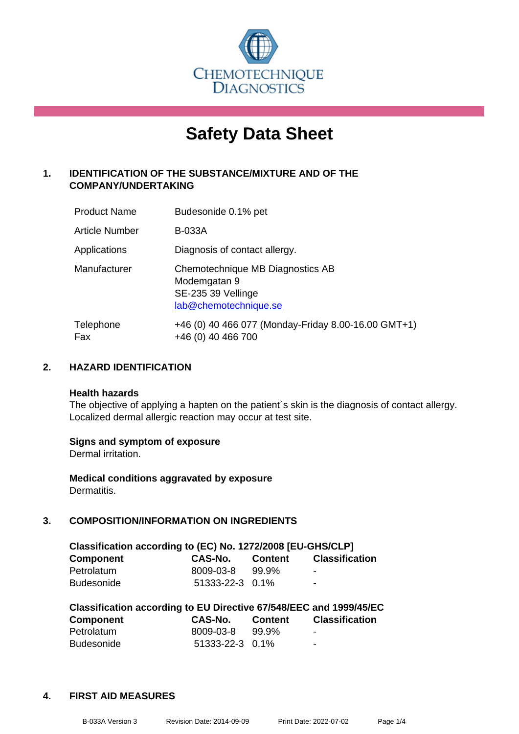

# **Safety Data Sheet**

# **1. IDENTIFICATION OF THE SUBSTANCE/MIXTURE AND OF THE COMPANY/UNDERTAKING**

| <b>Product Name</b>   | Budesonide 0.1% pet                                                                             |
|-----------------------|-------------------------------------------------------------------------------------------------|
| <b>Article Number</b> | <b>B-033A</b>                                                                                   |
| Applications          | Diagnosis of contact allergy.                                                                   |
| Manufacturer          | Chemotechnique MB Diagnostics AB<br>Modemgatan 9<br>SE-235 39 Vellinge<br>lab@chemotechnique.se |
| Telephone<br>Fax      | +46 (0) 40 466 077 (Monday-Friday 8.00-16.00 GMT+1)<br>+46 (0) 40 466 700                       |

# **2. HAZARD IDENTIFICATION**

#### **Health hazards**

The objective of applying a hapten on the patient's skin is the diagnosis of contact allergy. Localized dermal allergic reaction may occur at test site.

#### **Signs and symptom of exposure**

Dermal irritation.

**Medical conditions aggravated by exposure** Dermatitis.

# **3. COMPOSITION/INFORMATION ON INGREDIENTS**

| Classification according to (EC) No. 1272/2008 [EU-GHS/CLP] |                 |         |                       |  |
|-------------------------------------------------------------|-----------------|---------|-----------------------|--|
| <b>Component</b>                                            | CAS-No.         | Content | <b>Classification</b> |  |
| Petrolatum                                                  | 8009-03-8       | 99.9%   | -                     |  |
| <b>Budesonide</b>                                           | 51333-22-3 0.1% |         | ۰.                    |  |

| Classification according to EU Directive 67/548/EEC and 1999/45/EC |                 |         |                       |  |  |
|--------------------------------------------------------------------|-----------------|---------|-----------------------|--|--|
| <b>Component</b>                                                   | CAS-No.         | Content | <b>Classification</b> |  |  |
| Petrolatum                                                         | 8009-03-8       | 99.9%   | -                     |  |  |
| <b>Budesonide</b>                                                  | 51333-22-3 0.1% |         | -                     |  |  |

#### **4. FIRST AID MEASURES**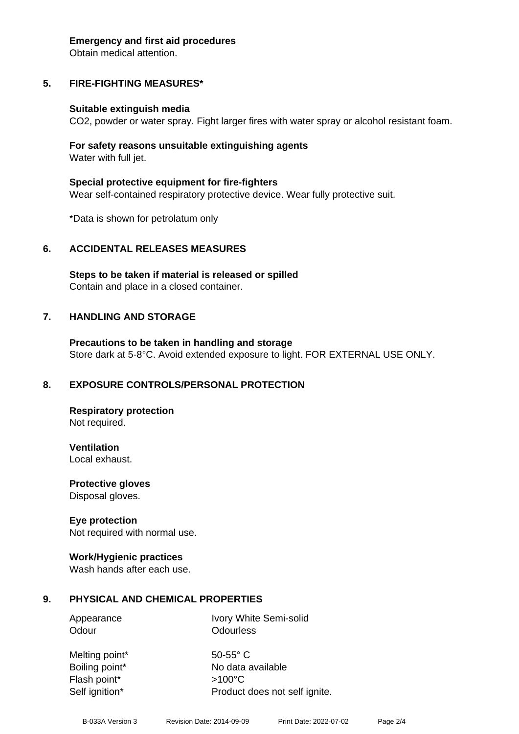#### **Emergency and first aid procedures**

Obtain medical attention.

# **5. FIRE-FIGHTING MEASURES\***

#### **Suitable extinguish media**

CO2, powder or water spray. Fight larger fires with water spray or alcohol resistant foam.

#### **For safety reasons unsuitable extinguishing agents** Water with full jet.

**Special protective equipment for fire-fighters** Wear self-contained respiratory protective device. Wear fully protective suit.

\*Data is shown for petrolatum only

#### **6. ACCIDENTAL RELEASES MEASURES**

**Steps to be taken if material is released or spilled** Contain and place in a closed container.

#### **7. HANDLING AND STORAGE**

**Precautions to be taken in handling and storage** Store dark at 5-8°C. Avoid extended exposure to light. FOR EXTERNAL USE ONLY.

#### **8. EXPOSURE CONTROLS/PERSONAL PROTECTION**

**Respiratory protection** Not required.

**Ventilation** Local exhaust.

**Protective gloves** Disposal gloves.

#### **Eye protection**

Not required with normal use.

#### **Work/Hygienic practices**

Wash hands after each use.

#### **9. PHYSICAL AND CHEMICAL PROPERTIES**

Odour **Odourless** 

Appearance Ivory White Semi-solid

Melting point\* 50-55° C Flash point\* >100°C

Boiling point\* No data available Self ignition\* Product does not self ignite.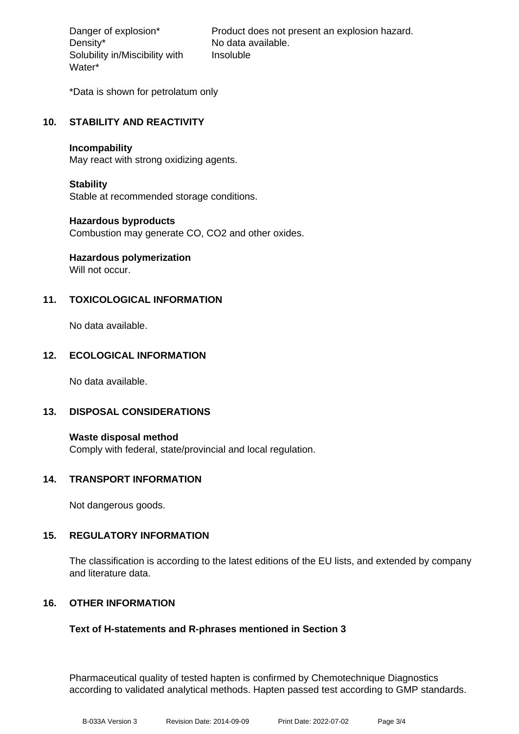Density\* No data available. Solubility in/Miscibility with Water\*

Danger of explosion\* Product does not present an explosion hazard. Insoluble

\*Data is shown for petrolatum only

# **10. STABILITY AND REACTIVITY**

#### **Incompability**

May react with strong oxidizing agents.

#### **Stability**

Stable at recommended storage conditions.

#### **Hazardous byproducts**

Combustion may generate CO, CO2 and other oxides.

# **Hazardous polymerization**

Will not occur.

# **11. TOXICOLOGICAL INFORMATION**

No data available.

# **12. ECOLOGICAL INFORMATION**

No data available.

#### **13. DISPOSAL CONSIDERATIONS**

**Waste disposal method** Comply with federal, state/provincial and local regulation.

#### **14. TRANSPORT INFORMATION**

Not dangerous goods.

#### **15. REGULATORY INFORMATION**

The classification is according to the latest editions of the EU lists, and extended by company and literature data.

#### **16. OTHER INFORMATION**

#### **Text of H-statements and R-phrases mentioned in Section 3**

Pharmaceutical quality of tested hapten is confirmed by Chemotechnique Diagnostics according to validated analytical methods. Hapten passed test according to GMP standards.